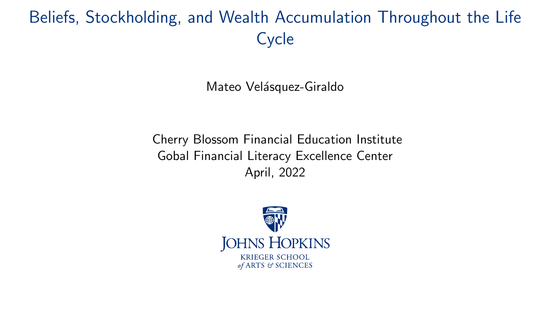# <span id="page-0-0"></span>Beliefs, Stockholding, and Wealth Accumulation Throughout the Life **Cycle**

Mateo Velásquez-Giraldo

Cherry Blossom Financial Education Institute Gobal Financial Literacy Excellence Center April, 2022

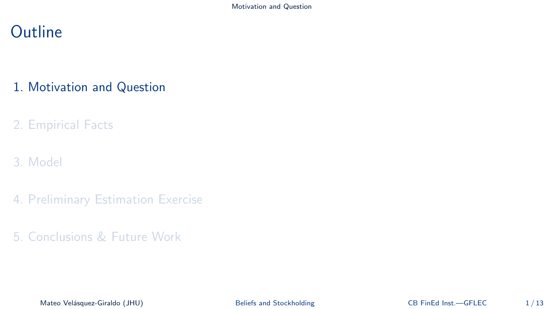### <span id="page-1-0"></span>**Outline**

### 1. [Motivation and Question](#page-1-0)

### 2. [Empirical Facts](#page-5-0)

### 3. [Model](#page-9-0)

- 4. [Preliminary Estimation Exercise](#page-14-0)
- 5. [Conclusions & Future Work](#page-23-0)

Mateo Velásquez-Giraldo (JHU) [Beliefs and Stockholding](#page-0-0) CB FinEd Inst.—GFLEC 1/13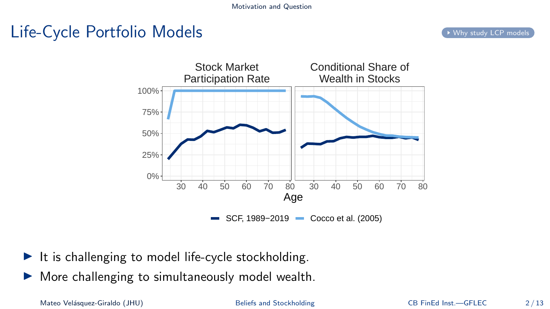# <span id="page-2-0"></span>Life-Cycle Portfolio Models and the Cycle of the Cycle of the Cycle models



- $\blacktriangleright$  It is challenging to model life-cycle stockholding.
- ▶ More challenging to simultaneously model wealth.

Mateo Velásquez-Giraldo (JHU) [Beliefs and Stockholding](#page-0-0) CB FinEd Inst.—GFLEC 2/13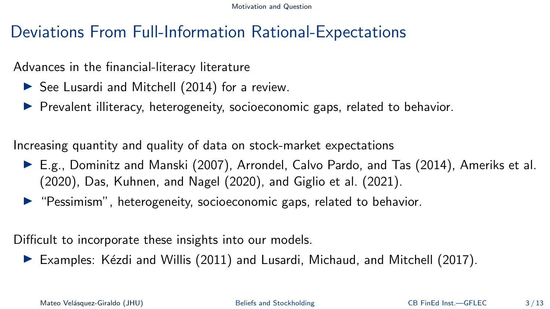[Motivation and Question](#page-1-0)

## Deviations From Full-Information Rational-Expectations

### Advances in the financial-literacy literature

- ▶ See Lusardi and Mitchell [\(2014\)](#page-32-0) for a review.
- ▶ Prevalent illiteracy, heterogeneity, socioeconomic gaps, related to behavior.

Increasing quantity and quality of data on stock-market expectations

- ▶ E.g., Dominitz and Manski [\(2007\)](#page-29-0), Arrondel, Calvo Pardo, and Tas [\(2014\)](#page-28-0), Ameriks et al. [\(2020\)](#page-28-1), Das, Kuhnen, and Nagel [\(2020\)](#page-29-1), and Giglio et al. [\(2021\)](#page-30-0).
- ▶ "Pessimism", heterogeneity, socioeconomic gaps, related to behavior.

Difficult to incorporate these insights into our models.

 $\triangleright$  Examples: Kézdi and Willis [\(2011\)](#page-31-0) and Lusardi, Michaud, and Mitchell [\(2017\)](#page-31-1).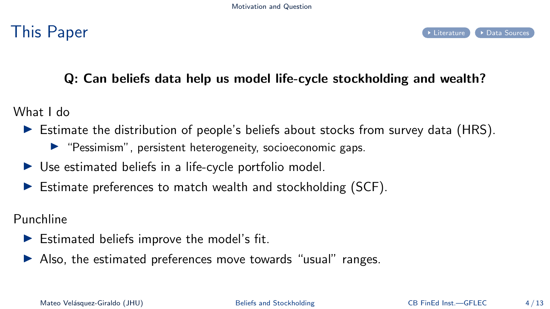<span id="page-4-0"></span>

### Q: Can beliefs data help us model life-cycle stockholding and wealth?

What I do

- $\triangleright$  Estimate the distribution of people's beliefs about stocks from survey data (HRS).
	- ▶ "Pessimism", persistent heterogeneity, socioeconomic gaps.
- $\triangleright$  Use estimated beliefs in a life-cycle portfolio model.
- $\blacktriangleright$  Estimate preferences to match wealth and stockholding (SCF).

Punchline

- $\blacktriangleright$  Estimated beliefs improve the model's fit.
- ▶ Also, the estimated preferences move towards "usual" ranges.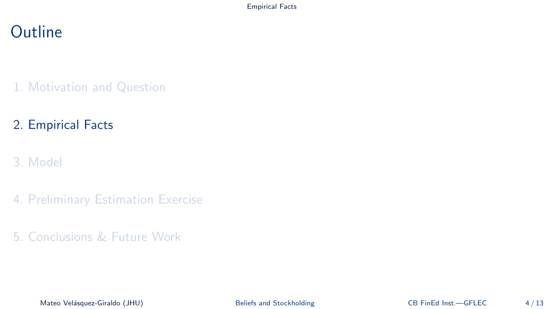### <span id="page-5-0"></span>**Outline**

1. [Motivation and Question](#page-1-0)

### 2. [Empirical Facts](#page-5-0)

- 3. [Model](#page-9-0)
- 4. [Preliminary Estimation Exercise](#page-14-0)
- 5. [Conclusions & Future Work](#page-23-0)

Mateo Velásquez-Giraldo (JHU) [Beliefs and Stockholding](#page-0-0) CB FinEd Inst.—GFLEC 4/13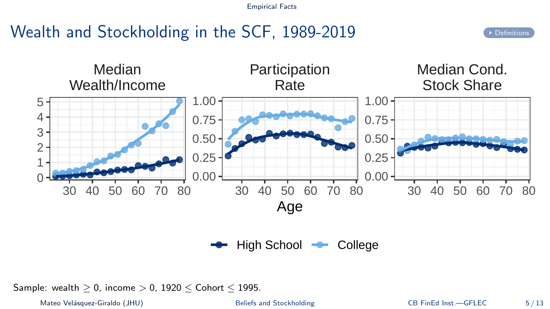# <span id="page-6-0"></span>Wealth and Stockholding in the SCF, 1989-2019



High School **College** 

Sample: wealth  $> 0$ , income  $> 0$ , 1920  $<$  Cohort  $<$  1995.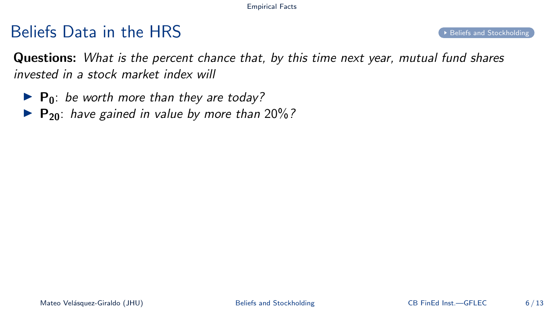### $B$ eliefs  $D$ ata in the HRS  $B$

<span id="page-7-0"></span>Questions: What is the percent chance that, by this time next year, mutual fund shares invested in a stock market index will

- $\blacktriangleright$  P<sub>0</sub>: be worth more than they are today?
- ▶ P<sub>20</sub>: have gained in value by more than 20%?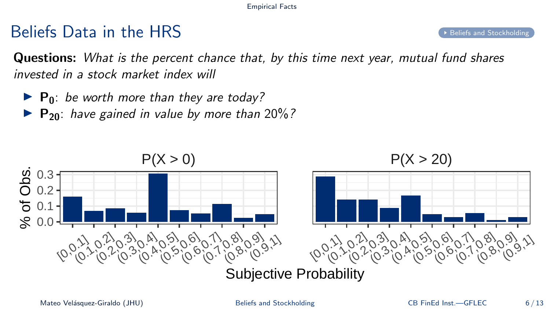# Beliefs Data in the HRS [Beliefs and Stockholding](#page-40-0)

Questions: What is the percent chance that, by this time next year, mutual fund shares invested in a stock market index will

- $\blacktriangleright$  P<sub>0</sub>: be worth more than they are today?
- ▶ P<sub>20</sub>: have gained in value by more than 20%?

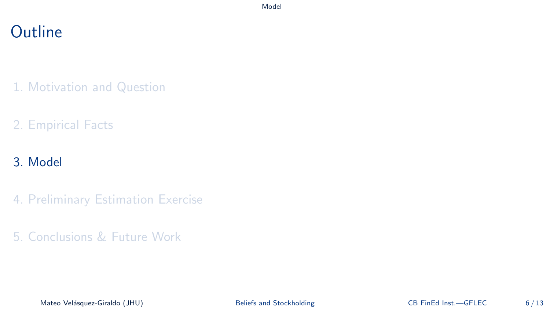### <span id="page-9-0"></span>**Outline**

- 1. [Motivation and Question](#page-1-0)
- 2. [Empirical Facts](#page-5-0)

### 3. [Model](#page-9-0)

- 4. [Preliminary Estimation Exercise](#page-14-0)
- 5. [Conclusions & Future Work](#page-23-0)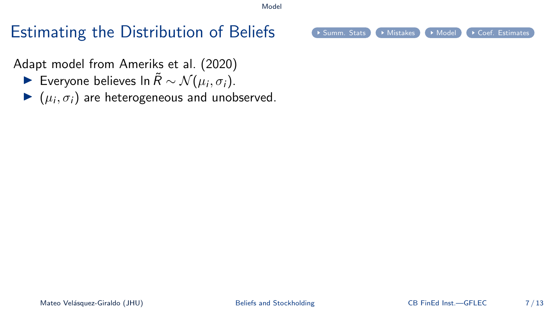# Estimating the Distribution of Beliefs  $\bullet$  [Summ. Stats](#page-45-0)  $\bullet$  [Mistakes](#page-46-0)  $\bullet$  [Model](#page-47-0)  $\bullet$  [Coef. Estimates](#page-49-0)

<span id="page-10-0"></span>Adapt model from Ameriks et al. [\(2020\)](#page-28-1)

- ► Everyone believes In  $\tilde{R} \sim \mathcal{N}(\mu_i, \sigma_i)$ .
- $\blacktriangleright$   $(\mu_i, \sigma_i)$  are heterogeneous and unobserved.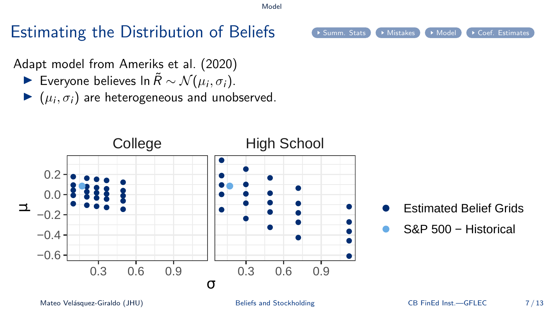# Estimating the Distribution of Beliefs  $\bullet$  [Summ. Stats](#page-45-0)  $\bullet$  [Mistakes](#page-46-0)  $\bullet$  [Model](#page-47-0)  $\bullet$  [Coef. Estimates](#page-49-0)

Adapt model from Ameriks et al. [\(2020\)](#page-28-1)

- ► Everyone believes In  $\tilde{R} \sim \mathcal{N}(\mu_i, \sigma_i)$ .
- $\blacktriangleright$   $(\mu_i, \sigma_i)$  are heterogeneous and unobserved.



- Estimated Belief Grids
- S&P 500 − Historical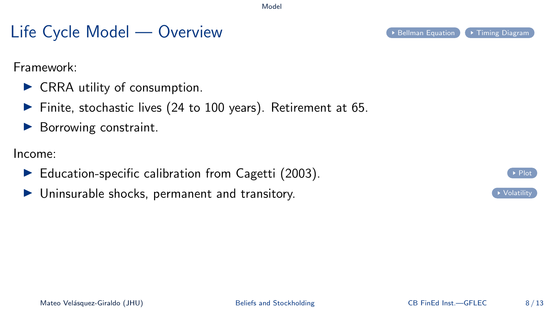# Life Cycle Model — Overview [Bellman Equation](#page-54-0) [Timing Diagram](#page-55-0)

<span id="page-12-0"></span>Framework:

- ▶ CRRA utility of consumption.
- ▶ Finite, stochastic lives (24 to 100 years). Retirement at 65.
- ▶ Borrowing constraint.

Income:

- $\blacktriangleright$  Education-specific calibration from Cagetti [\(2003\)](#page-28-2).
- ▶ Uninsurable shocks, permanent and transitory.



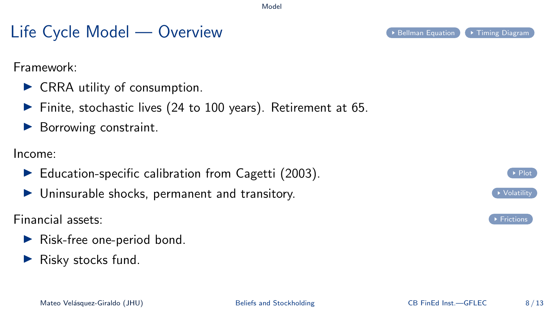# Life Cycle Model — Overview [Bellman Equation](#page-54-0) [Timing Diagram](#page-55-0)

Framework:

- ▶ CRRA utility of consumption.
- ▶ Finite, stochastic lives (24 to 100 years). Retirement at 65.
- ▶ Borrowing constraint.

Income:

- $\blacktriangleright$  Education-specific calibration from Cagetti [\(2003\)](#page-28-2).
- $\blacktriangleright$  Uninsurable shocks, permanent and transitory.

Financial assets: [Frictions](#page-52-0)

- $\blacktriangleright$  Risk-free one-period bond.
- $\blacktriangleright$  Risky stocks fund.





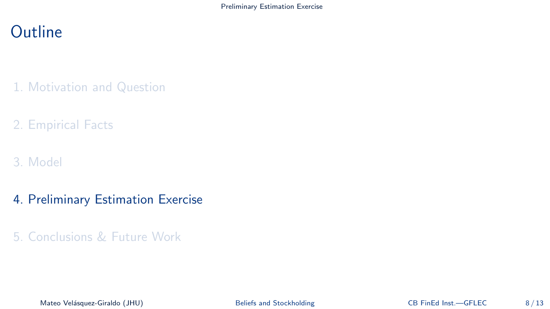# <span id="page-14-0"></span>**Outline**

- 1. [Motivation and Question](#page-1-0)
- 2. [Empirical Facts](#page-5-0)
- 3. [Model](#page-9-0)
- 4. [Preliminary Estimation Exercise](#page-14-0)
- 5. [Conclusions & Future Work](#page-23-0)

Mateo Velásquez-Giraldo (JHU) [Beliefs and Stockholding](#page-0-0) CB FinEd Inst.—GFLEC 8/13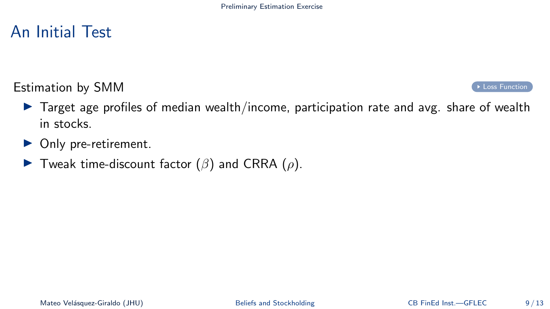### An Initial Test

### <span id="page-15-0"></span>**Estimation by SMM**  $\bullet$  [Loss Function](#page-56-0)

- ▶ Target age profiles of median wealth/income, participation rate and avg. share of wealth in stocks.
- ▶ Only pre-retirement.
- $\blacktriangleright$  Tweak time-discount factor ( $\beta$ ) and CRRA ( $\rho$ ).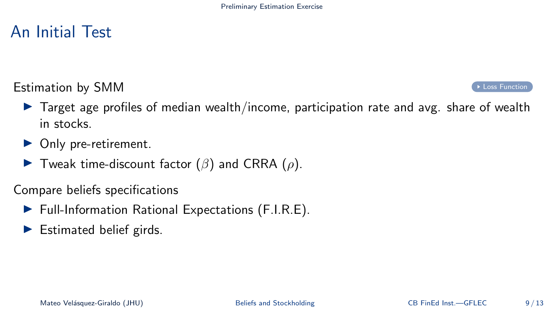### An Initial Test

### Estimation by SMM  $\bullet$  [Loss Function](#page-56-0)

- $\triangleright$  Target age profiles of median wealth/income, participation rate and avg. share of wealth in stocks.
- ▶ Only pre-retirement.
- $\blacktriangleright$  Tweak time-discount factor ( $\beta$ ) and CRRA ( $\rho$ ).

Compare beliefs specifications

- ▶ Full-Information Rational Expectations (F.I.R.E).
- $\blacktriangleright$  Estimated belief girds.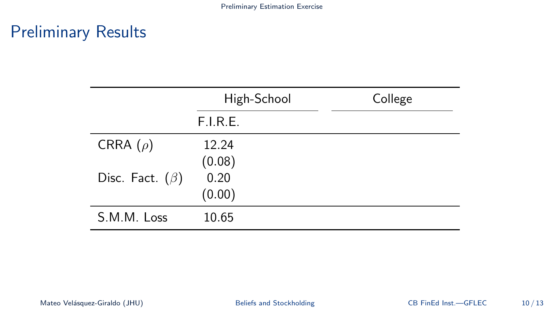|                       | High-School | College |
|-----------------------|-------------|---------|
|                       | F.I.R.E.    |         |
| CRRA $(\rho)$         | 12.24       |         |
|                       | (0.08)      |         |
| Disc. Fact. $(\beta)$ | 0.20        |         |
|                       | (0.00)      |         |
| S.M.M. Loss           | 10.65       |         |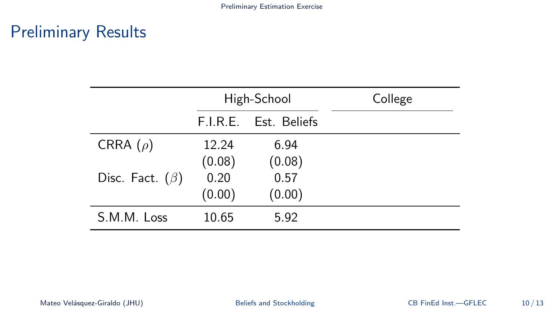|                       |        | High-School           | College |
|-----------------------|--------|-----------------------|---------|
|                       |        | F.I.R.E. Est. Beliefs |         |
| CRRA $(\rho)$         | 12.24  | 6.94                  |         |
|                       | (0.08) | (0.08)                |         |
| Disc. Fact. $(\beta)$ | 0.20   | 0.57                  |         |
|                       | (0.00) | (0.00)                |         |
| S.M.M. Loss           | 10.65  | 5.92                  |         |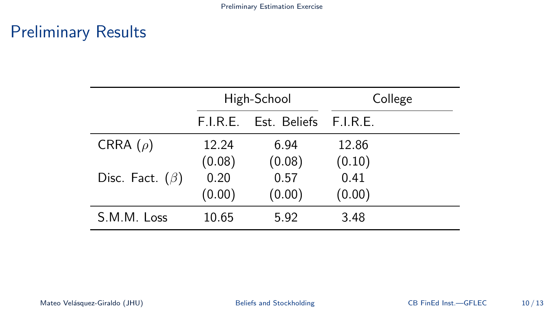|                       |          | High-School           | College |
|-----------------------|----------|-----------------------|---------|
|                       | F.I.R.E. | Est. Beliefs F.I.R.E. |         |
| CRRA $(\rho)$         | 12.24    | 6.94                  | 12.86   |
|                       | (0.08)   | (0.08)                | (0.10)  |
| Disc. Fact. $(\beta)$ | 0.20     | 0.57                  | 0.41    |
|                       | (0.00)   | (0.00)                | (0.00)  |
| S.M.M. Loss           | 10.65    | 5.92                  | 3.48    |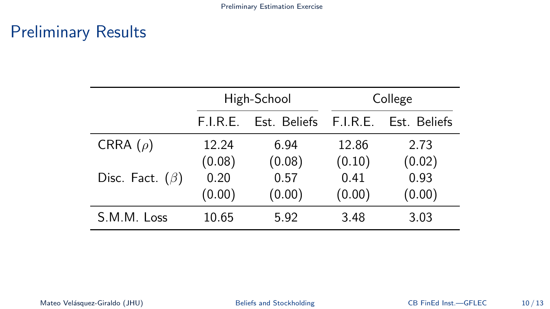|                       |          | High-School           |        | College      |
|-----------------------|----------|-----------------------|--------|--------------|
|                       | F.I.R.E. | Est. Beliefs F.I.R.E. |        | Est. Beliefs |
| CRRA $(\rho)$         | 12.24    | 6.94                  | 12.86  | 2.73         |
|                       | (0.08)   | (0.08)                | (0.10) | (0.02)       |
| Disc. Fact. $(\beta)$ | 0.20     | 0.57                  | 0.41   | 0.93         |
|                       | (0.00)   | (0.00)                | (0.00) | (0.00)       |
| S.M.M. Loss           | 10.65    | 5.92                  | 3.48   | 3.03         |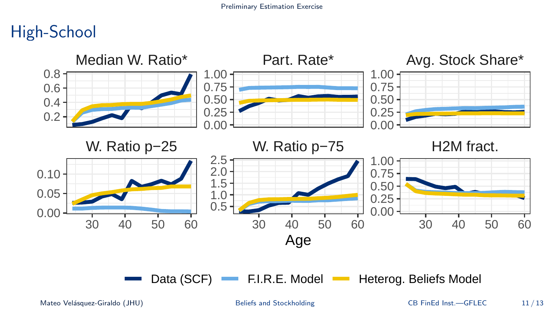# High-School



Mateo Velásquez-Giraldo (JHU) [Beliefs and Stockholding](#page-0-0) CB FinEd Inst.—GFLEC 11/13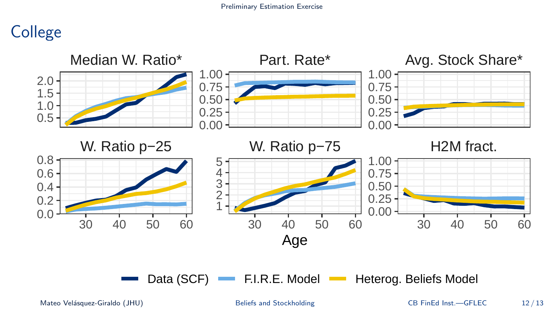# **College**



Mateo Velásquez-Giraldo (JHU) [Beliefs and Stockholding](#page-0-0) CB FinEd Inst.—GFLEC 12/13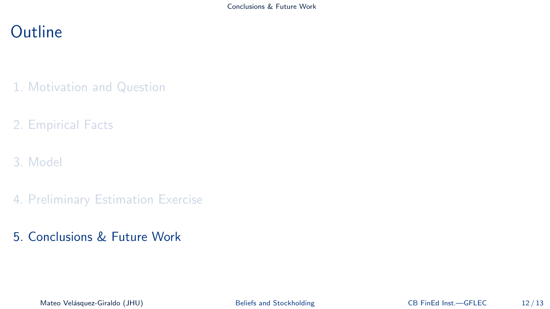## <span id="page-23-0"></span>**Outline**

- 1. [Motivation and Question](#page-1-0)
- 2. [Empirical Facts](#page-5-0)
- 3. [Model](#page-9-0)
- 4. [Preliminary Estimation Exercise](#page-14-0)
- 5. [Conclusions & Future Work](#page-23-0)

Mateo Velásquez-Giraldo (JHU) [Beliefs and Stockholding](#page-0-0) CB FinEd Inst.—GFLEC 12/13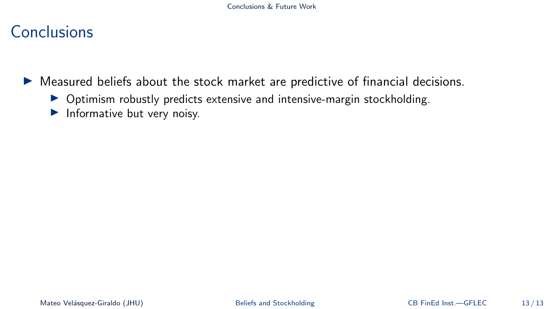### Conclusions

▶ Measured beliefs about the stock market are predictive of financial decisions.

- ▶ Optimism robustly predicts extensive and intensive-margin stockholding.
- ▶ Informative but very noisy.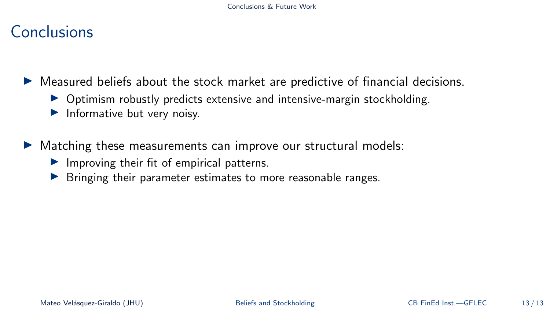### Conclusions

▶ Measured beliefs about the stock market are predictive of financial decisions.

- ▶ Optimism robustly predicts extensive and intensive-margin stockholding.
- $\blacktriangleright$  Informative but very noisy.

▶ Matching these measurements can improve our structural models:

- ▶ Improving their fit of empirical patterns.
- ▶ Bringing their parameter estimates to more reasonable ranges.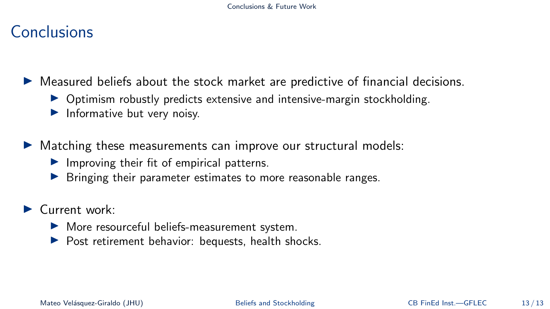### Conclusions

▶ Measured beliefs about the stock market are predictive of financial decisions.

- ▶ Optimism robustly predicts extensive and intensive-margin stockholding.
- $\blacktriangleright$  Informative but very noisy.

▶ Matching these measurements can improve our structural models:

- ▶ Improving their fit of empirical patterns.
- ▶ Bringing their parameter estimates to more reasonable ranges.
- ▶ Current work:
	- ▶ More resourceful beliefs-measurement system.
	- ▶ Post retirement behavior: bequests, health shocks.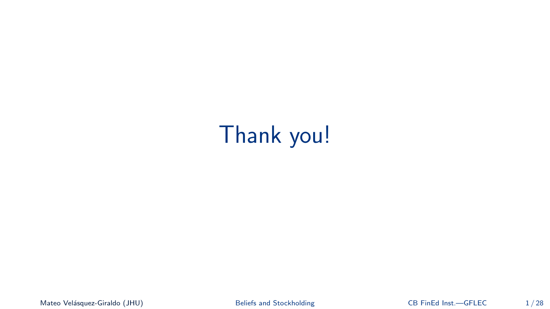# Thank you!

Mateo Velásquez-Giraldo (JHU) [Beliefs and Stockholding](#page-0-0) CB FinEd Inst.—GFLEC 1/28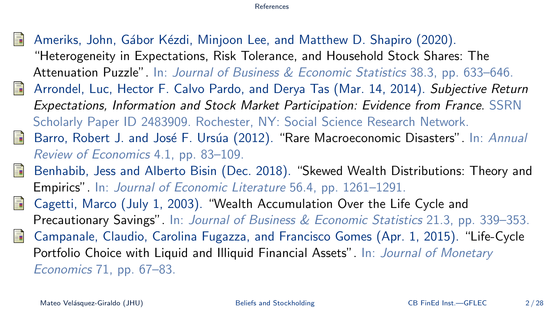- <span id="page-28-3"></span><span id="page-28-1"></span>Ameriks, John, Gábor Kézdi, Minjoon Lee, and Matthew D. Shapiro (2020). "Heterogeneity in Expectations, Risk Tolerance, and Household Stock Shares: The Attenuation Puzzle". In: Journal of Business & Economic Statistics 38.3, pp. 633–646.
- <span id="page-28-0"></span> $\blacksquare$ Arrondel, Luc, Hector F. Calvo Pardo, and Derya Tas (Mar. 14, 2014). Subjective Return Expectations, Information and Stock Market Participation: Evidence from France. SSRN Scholarly Paper ID 2483909. Rochester, NY: Social Science Research Network.
- <span id="page-28-6"></span>Barro, Robert J. and José F. Ursúa (2012). "Rare Macroeconomic Disasters". In: Annual 昏 Review of Economics 4.1, pp. 83–109.
- <span id="page-28-4"></span>Benhabib, Jess and Alberto Bisin (Dec. 2018). "Skewed Wealth Distributions: Theory and 品 Empirics". In: Journal of Economic Literature 56.4, pp. 1261–1291.
- <span id="page-28-2"></span>Cagetti, Marco (July 1, 2003). "Wealth Accumulation Over the Life Cycle and 晶 Precautionary Savings". In: Journal of Business & Economic Statistics 21.3, pp. 339–353.
- <span id="page-28-5"></span>量 Campanale, Claudio, Carolina Fugazza, and Francisco Gomes (Apr. 1, 2015). "Life-Cycle Portfolio Choice with Liquid and Illiquid Financial Assets". In: Journal of Monetary Economics 71, pp. 67–83.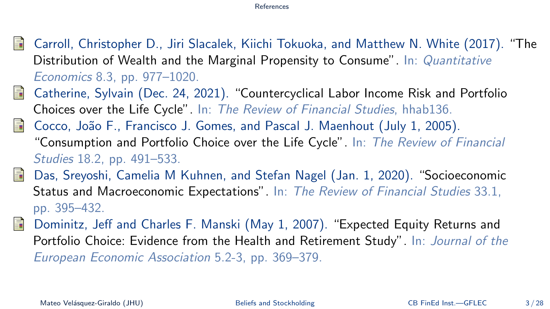- <span id="page-29-2"></span>冨 Carroll, Christopher D., Jiri Slacalek, Kiichi Tokuoka, and Matthew N. White (2017). "The Distribution of Wealth and the Marginal Propensity to Consume". In: *Quantitative* Economics 8.3, pp. 977–1020.
- <span id="page-29-3"></span>晶 Catherine, Sylvain (Dec. 24, 2021). "Countercyclical Labor Income Risk and Portfolio Choices over the Life Cycle". In: The Review of Financial Studies, hhab136.
- Cocco, João F., Francisco J. Gomes, and Pascal J. Maenhout (July 1, 2005). F "Consumption and Portfolio Choice over the Life Cycle". In: The Review of Financial Studies 18.2, pp. 491–533.
- <span id="page-29-1"></span>歸 Das, Sreyoshi, Camelia M Kuhnen, and Stefan Nagel (Jan. 1, 2020). "Socioeconomic Status and Macroeconomic Expectations". In: The Review of Financial Studies 33.1, pp. 395–432.
- <span id="page-29-0"></span>Dominitz, Jeff and Charles F. Manski (May 1, 2007). "Expected Equity Returns and F Portfolio Choice: Evidence from the Health and Retirement Study". In: Journal of the European Economic Association 5.2-3, pp. 369–379.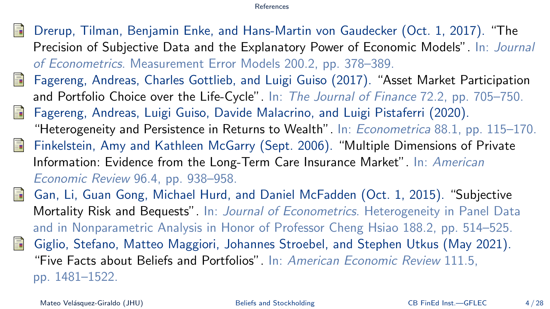- <span id="page-30-5"></span>Drerup, Tilman, Benjamin Enke, and Hans-Martin von Gaudecker (Oct. 1, 2017). "The Precision of Subjective Data and the Explanatory Power of Economic Models". In: Journal of Econometrics. Measurement Error Models 200.2, pp. 378–389.
- <span id="page-30-2"></span>歸 Fagereng, Andreas, Charles Gottlieb, and Luigi Guiso (2017). "Asset Market Participation and Portfolio Choice over the Life-Cycle". In: The Journal of Finance 72.2, pp. 705-750.
- <span id="page-30-1"></span>Fagereng, Andreas, Luigi Guiso, Davide Malacrino, and Luigi Pistaferri (2020). "Heterogeneity and Persistence in Returns to Wealth". In: Econometrica 88.1, pp. 115–170.
- <span id="page-30-3"></span>Finkelstein, Amy and Kathleen McGarry (Sept. 2006). "Multiple Dimensions of Private Information: Evidence from the Long-Term Care Insurance Market". In: American Economic Review 96.4, pp. 938–958.
- <span id="page-30-4"></span><span id="page-30-0"></span>Gan, Li, Guan Gong, Michael Hurd, and Daniel McFadden (Oct. 1, 2015). "Subjective Mortality Risk and Bequests". In: Journal of Econometrics. Heterogeneity in Panel Data and in Nonparametric Analysis in Honor of Professor Cheng Hsiao 188.2, pp. 514–525. Giglio, Stefano, Matteo Maggiori, Johannes Stroebel, and Stephen Utkus (May 2021). "Five Facts about Beliefs and Portfolios". In: American Economic Review 111.5, pp. 1481–1522.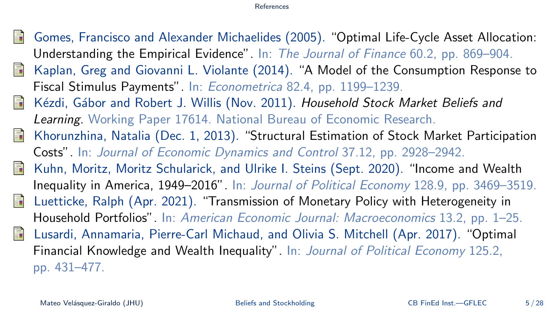- <span id="page-31-5"></span>量 Gomes, Francisco and Alexander Michaelides (2005). "Optimal Life-Cycle Asset Allocation: Understanding the Empirical Evidence". In: The Journal of Finance 60.2, pp. 869–904.
- <span id="page-31-3"></span>晶 Kaplan, Greg and Giovanni L. Violante (2014). "A Model of the Consumption Response to Fiscal Stimulus Payments". In: Econometrica 82.4, pp. 1199–1239.
- <span id="page-31-0"></span>Kézdi, Gábor and Robert J. Willis (Nov. 2011). Household Stock Market Beliefs and 量 Learning. Working Paper 17614. National Bureau of Economic Research.
- <span id="page-31-6"></span>量 Khorunzhina, Natalia (Dec. 1, 2013). "Structural Estimation of Stock Market Participation Costs". In: Journal of Economic Dynamics and Control 37.12, pp. 2928–2942.
- <span id="page-31-2"></span>暈 Kuhn, Moritz, Moritz Schularick, and Ulrike I. Steins (Sept. 2020). "Income and Wealth Inequality in America, 1949–2016". In: Journal of Political Economy 128.9, pp. 3469–3519.
- <span id="page-31-4"></span>Luetticke, Ralph (Apr. 2021). "Transmission of Monetary Policy with Heterogeneity in F Household Portfolios". In: American Economic Journal: Macroeconomics 13.2, pp. 1–25.
- <span id="page-31-1"></span>Lusardi, Annamaria, Pierre-Carl Michaud, and Olivia S. Mitchell (Apr. 2017). "Optimal Financial Knowledge and Wealth Inequality". In: Journal of Political Economy 125.2, pp. 431–477.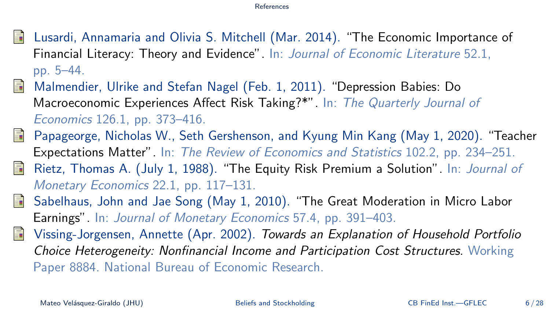- <span id="page-32-0"></span>Lusardi, Annamaria and Olivia S. Mitchell (Mar. 2014). "The Economic Importance of Financial Literacy: Theory and Evidence". In: Journal of Economic Literature 52.1, pp. 5–44.
- <span id="page-32-4"></span>晶 Malmendier, Ulrike and Stefan Nagel (Feb. 1, 2011). "Depression Babies: Do Macroeconomic Experiences Affect Risk Taking?\*". In: The Quarterly Journal of Economics 126.1, pp. 373–416.
- <span id="page-32-3"></span>晶 Papageorge, Nicholas W., Seth Gershenson, and Kyung Min Kang (May 1, 2020). "Teacher Expectations Matter". In: The Review of Economics and Statistics 102.2, pp. 234–251.
- <span id="page-32-2"></span>暈 Rietz, Thomas A. (July 1, 1988). "The Equity Risk Premium a Solution". In: Journal of Monetary Economics 22.1, pp. 117–131.
- <span id="page-32-5"></span>Sabelhaus, John and Jae Song (May 1, 2010). "The Great Moderation in Micro Labor Ħ Earnings". In: Journal of Monetary Economics 57.4, pp. 391–403.
- <span id="page-32-1"></span>昂 Vissing-Jorgensen, Annette (Apr. 2002). Towards an Explanation of Household Portfolio Choice Heterogeneity: Nonfinancial Income and Participation Cost Structures. Working Paper 8884. National Bureau of Economic Research.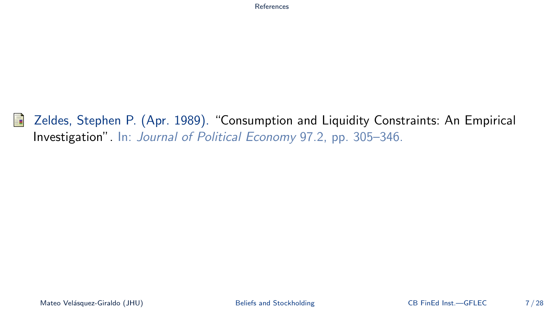<span id="page-33-0"></span>手 Zeldes, Stephen P. (Apr. 1989). "Consumption and Liquidity Constraints: An Empirical Investigation". In: Journal of Political Economy 97.2, pp. 305–346.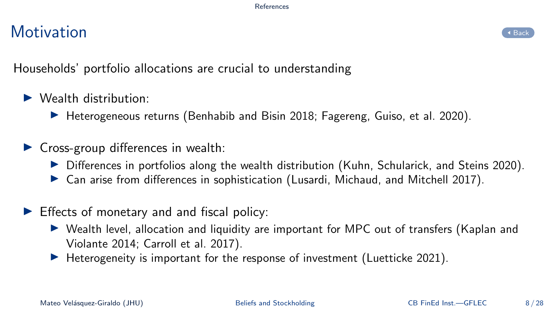# Motivation and the set of the set of the set of the set of the set of the set of the set of the set of the set



<span id="page-34-0"></span>Households' portfolio allocations are crucial to understanding

- $\blacktriangleright$  Wealth distribution:
	- ▶ Heterogeneous returns (Benhabib and Bisin [2018;](#page-28-4) Fagereng, Guiso, et al. [2020\)](#page-30-1).
- $\triangleright$  Cross-group differences in wealth:
	- ▶ Differences in portfolios along the wealth distribution (Kuhn, Schularick, and Steins [2020\)](#page-31-2).
	- ▶ Can arise from differences in sophistication (Lusardi, Michaud, and Mitchell [2017\)](#page-31-1).
- $\blacktriangleright$  Effects of monetary and and fiscal policy:
	- ▶ Wealth level, allocation and liquidity are important for MPC out of transfers (Kaplan and Violante [2014;](#page-31-3) Carroll et al. [2017\)](#page-29-2).
	- $\blacktriangleright$  Heterogeneity is important for the response of investment (Luetticke [2021\)](#page-31-4).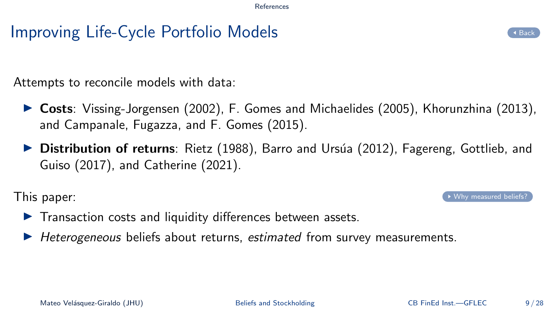# Improving Life-Cycle Portfolio Models [Back](#page-4-0) Back

<span id="page-35-0"></span>Attempts to reconcile models with data:

- ▶ Costs: Vissing-Jorgensen [\(2002\)](#page-32-1), F. Gomes and Michaelides [\(2005\)](#page-31-5), Khorunzhina [\(2013\)](#page-31-6), and Campanale, Fugazza, and F. Gomes [\(2015\)](#page-28-5).
- ▶ Distribution of returns: Rietz [\(1988\)](#page-32-2), Barro and Ursúa [\(2012\)](#page-28-6), Fagereng, Gottlieb, and Guiso [\(2017\)](#page-30-2), and Catherine [\(2021\)](#page-29-3).

This paper:  $\bullet$  [Why measured beliefs?](#page-36-0)

- ▶ Transaction costs and liquidity differences between assets.
- ▶ Heterogeneous beliefs about returns, estimated from survey measurements.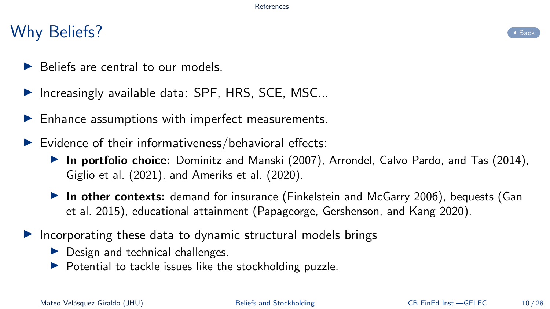### Why Beliefs?

- <span id="page-36-0"></span>▶ Beliefs are central to our models.
- ▶ Increasingly available data: SPF, HRS, SCE, MSC...
- $\blacktriangleright$  Enhance assumptions with imperfect measurements.
- $\blacktriangleright$  Evidence of their informativeness/behavioral effects:
	- ▶ In portfolio choice: Dominitz and Manski [\(2007\)](#page-29-0), Arrondel, Calvo Pardo, and Tas [\(2014\)](#page-28-0), Giglio et al. [\(2021\)](#page-30-0), and Ameriks et al. [\(2020\)](#page-28-1).
	- ▶ In other contexts: demand for insurance (Finkelstein and McGarry [2006\)](#page-30-3), bequests (Gan et al. [2015\)](#page-30-4), educational attainment (Papageorge, Gershenson, and Kang [2020\)](#page-32-3).
- ▶ Incorporating these data to dynamic structural models brings
	- $\blacktriangleright$  Design and technical challenges.
	- ▶ Potential to tackle issues like the stockholding puzzle.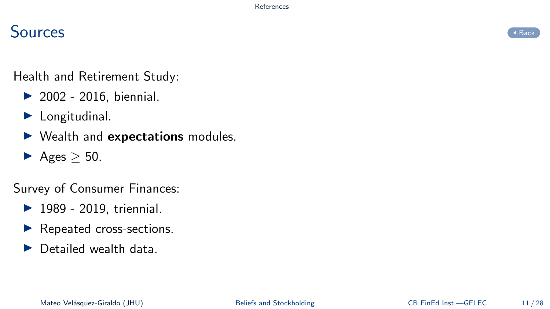# $S$ ources  $\overline{S}$

<span id="page-37-0"></span>Health and Retirement Study:

- $\triangleright$  2002 2016, biennial.
- $\blacktriangleright$  Longitudinal.
- ▶ Wealth and expectations modules.
- $\blacktriangleright$  Ages  $>$  50.

Survey of Consumer Finances:

- ▶ 1989 2019, triennial.
- ▶ Repeated cross-sections.
- ▶ Detailed wealth data

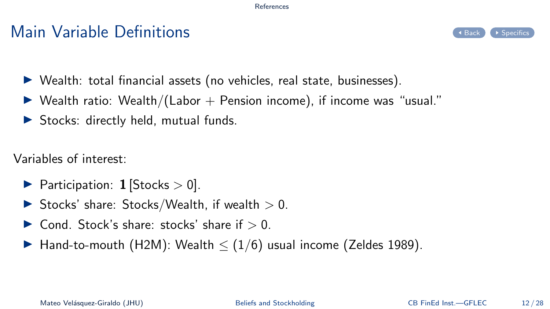### $\mathsf{Main}$  Variable Definitions  $\mathsf{Set}$



- <span id="page-38-0"></span>▶ Wealth: total financial assets (no vehicles, real state, businesses).
- $\triangleright$  Wealth ratio: Wealth/(Labor  $+$  Pension income), if income was "usual."
- ▶ Stocks: directly held, mutual funds.

Variables of interest:

- ▶ Participation: 1 [Stocks  $>$  0].
- $\blacktriangleright$  Stocks' share: Stocks/Wealth, if wealth  $>0$ .
- $\triangleright$  Cond. Stock's share: stocks' share if  $> 0$ .
- ▶ Hand-to-mouth (H2M): Wealth  $\leq$  (1/6) usual income (Zeldes [1989\)](#page-33-0).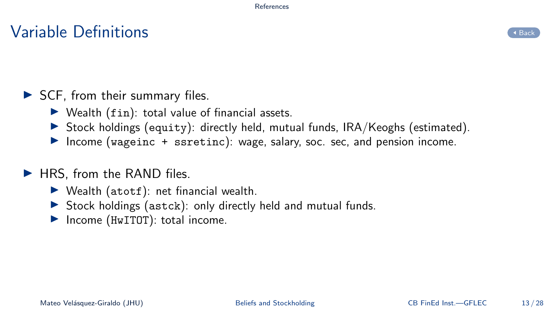### $V$ ariable Definitions  $\overline{S}_{\text{back}}$



### <span id="page-39-0"></span>▶ SCF, from their summary files.

- $\triangleright$  Wealth (fin): total value of financial assets.
- $\triangleright$  Stock holdings (equity): directly held, mutual funds, IRA/Keoghs (estimated).
- ▶ Income (wageinc + ssretinc): wage, salary, soc. sec, and pension income.

### ▶ HRS, from the RAND files.

- $\blacktriangleright$  Wealth (atotf): net financial wealth.
- ▶ Stock holdings (astck): only directly held and mutual funds.
- ▶ Income (HwITOT): total income.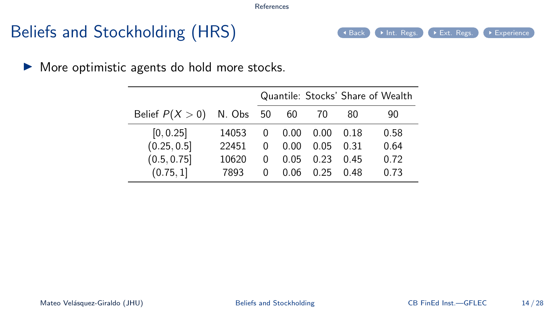# Beliefs and Stockholding (HRS) ([Back](#page-7-0) [Int. Regs.](#page-43-0) [Ext. Regs.](#page-42-0) [Experience](#page-44-0)

<span id="page-40-0"></span>▶ More optimistic agents do hold more stocks.

|                   |           |   |      |      |      | Quantile: Stocks' Share of Wealth |
|-------------------|-----------|---|------|------|------|-----------------------------------|
| Belief $P(X > 0)$ | N. Obs 50 |   | 60   | 70   | 80   | 90                                |
| [0, 0.25]         | 14053     | 0 | 0.00 | 0.00 | 0 18 | 0.58                              |
| (0.25, 0.5]       | 22451     | 0 | 0.00 | 0.05 | 0.31 | 0.64                              |
| (0.5, 0.75]       | 10620     | 0 | 0.05 | 0.23 | 0.45 | 0.72                              |
| (0.75, 1]         | 7893      | O | 0.06 | 0.25 | 0.48 | 0.73                              |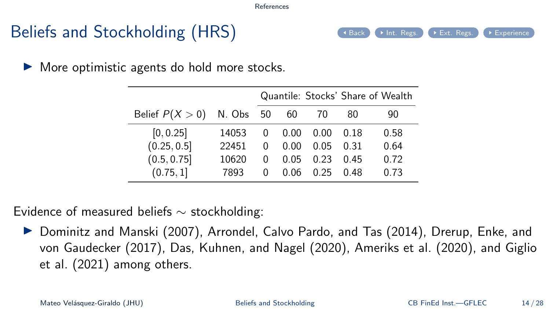# Beliefs and Stockholding (HRS) ([Back](#page-7-0) [Int. Regs.](#page-43-0) [Ext. Regs.](#page-42-0) [Experience](#page-44-0)

▶ More optimistic agents do hold more stocks.

|                             |       |              |      |      |      | Quantile: Stocks' Share of Wealth |
|-----------------------------|-------|--------------|------|------|------|-----------------------------------|
| Belief $P(X > 0)$ N. Obs 50 |       |              | 60   | 70   | 80   | 90                                |
| [0, 0.25]                   | 14053 | 0            | 0.00 | 0.00 | 0 18 | 0.58                              |
| (0.25, 0.5]                 | 22451 | 0            | 0.00 | 0.05 | 0.31 | 0.64                              |
| (0.5, 0.75]                 | 10620 | $\Omega$     | 0.05 | 0.23 | በ 45 | 0.72                              |
| (0.75, 1]                   | 7893  | $\mathbf{0}$ | 0.06 | በ 25 | በ 48 | 0.73                              |

Evidence of measured beliefs ∼ stockholding:

▶ Dominitz and Manski [\(2007\)](#page-29-0), Arrondel, Calvo Pardo, and Tas [\(2014\)](#page-28-0), Drerup, Enke, and von Gaudecker [\(2017\)](#page-30-5), Das, Kuhnen, and Nagel [\(2020\)](#page-29-1), Ameriks et al. [\(2020\)](#page-28-1), and Giglio et al. [\(2021\)](#page-30-0) among others.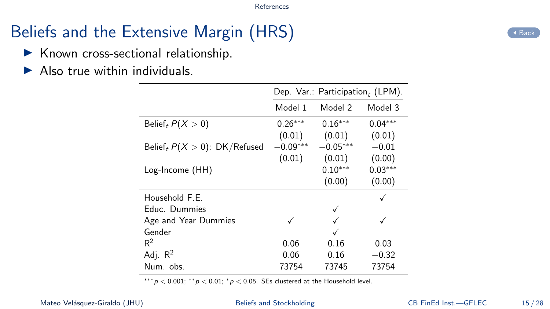# Beliefs and the Extensive Margin (HRS) [Back](#page-40-0) CR Rack

- <span id="page-42-0"></span>▶ Known cross-sectional relationship.
- $\blacktriangleright$  Also true within individuals.

|                                             |            | Dep. Var.: Participation, (LPM). |           |
|---------------------------------------------|------------|----------------------------------|-----------|
|                                             | Model 1    | Model 2                          | Model 3   |
| Belief, $P(X > 0)$                          | $0.26***$  | $0.16***$                        | $0.04***$ |
|                                             | (0.01)     | (0.01)                           | (0.01)    |
| Belief <sub>t</sub> $P(X > 0)$ : DK/Refused | $-0.09***$ | $-0.05^{***}$                    | $-0.01$   |
|                                             | (0.01)     | (0.01)                           | (0.00)    |
| Log-Income (HH)                             |            | $0.10***$                        | $0.03***$ |
|                                             |            | (0.00)                           | (0.00)    |
| Household F.E.                              |            |                                  |           |
| Educ. Dummies                               |            |                                  |           |
| Age and Year Dummies                        |            |                                  |           |
| Gender                                      |            |                                  |           |
| $R^2$                                       | 0.06       | 0.16                             | 0.03      |
| Adj. $R^2$                                  | 0.06       | 0.16                             | $-0.32$   |
| Num. obs.                                   | 73754      | 73745                            | 73754     |

\*\*\* $p < 0.001$ ; \*\* $p < 0.01$ ; \* $p < 0.05$ . SEs clustered at the Household level.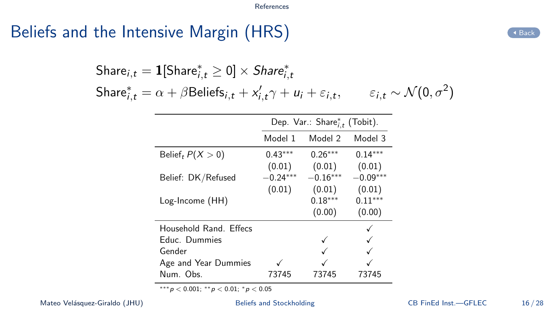## <span id="page-43-0"></span>Beliefs and the Intensive Margin  $(HRS)$

 $\mathsf{Share}_{i,t} = \bm{1}[\mathsf{Share}_{i,t}^* \geq 0] \times \mathsf{Share}_{i,t}^*$ Share ${}_{i,t}^{*} = \alpha + \beta$ Beliefs ${}_{i,t} + x'_{i,t} \gamma + u_i + \varepsilon_{i,t}$  $, \qquad \varepsilon_{i,t} \sim \mathcal{N}(0,\sigma^2)$ 

|                        | Dep. Var.: Share $_{i,t}^*$ (Tobit). |                     |                     |  |
|------------------------|--------------------------------------|---------------------|---------------------|--|
|                        | Model 1                              | Model 2             | Model 3             |  |
| Belief, $P(X > 0)$     | $0.43***$<br>(0.01)                  | $0.26***$<br>(0.01) | $0.14***$<br>(0.01) |  |
| Belief: DK/Refused     | $-0.24***$                           | $-0.16***$          | $-0.09^{***}$       |  |
| Log-Income (HH)        | (0.01)                               | (0.01)<br>$0.18***$ | (0.01)<br>$0.11***$ |  |
|                        |                                      | (0.00)              | (0.00)              |  |
| Household Rand. Effecs |                                      |                     |                     |  |
| Educ. Dummies          |                                      |                     |                     |  |
| Gender                 |                                      |                     |                     |  |
| Age and Year Dummies   |                                      |                     |                     |  |
| Num. Obs.              | 73745                                | 73745               | 73745               |  |

∗∗∗p < 0.001; ∗∗p < 0.01; <sup>∗</sup>p < 0.05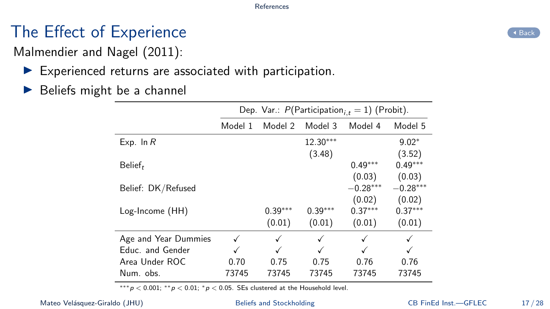# The Effect of Experience **[Back](#page-40-0) Contract Contract Contract Contract**

<span id="page-44-0"></span>Malmendier and Nagel [\(2011\)](#page-32-4):

- $\blacktriangleright$  Experienced returns are associated with participation.
- $\blacktriangleright$  Beliefs might be a channel

|                      |         |           |            | Dep. Var.: $P(\text{Participation}_{i,t} = 1)$ (Probit). |            |
|----------------------|---------|-----------|------------|----------------------------------------------------------|------------|
|                      | Model 1 | Model 2   | Model 3    | Model 4                                                  | Model 5    |
| Exp. In $R$          |         |           | $12.30***$ |                                                          | $9.02*$    |
|                      |         |           | (3.48)     |                                                          | (3.52)     |
| Belief <sub>t</sub>  |         |           |            | $0.49***$                                                | $0.49***$  |
|                      |         |           |            | (0.03)                                                   | (0.03)     |
| Belief: DK/Refused   |         |           |            | $-0.28***$                                               | $-0.28***$ |
|                      |         |           |            | (0.02)                                                   | (0.02)     |
| Log-Income (HH)      |         | $0.39***$ | $0.39***$  | $0.37***$                                                | $0.37***$  |
|                      |         | (0.01)    | (0.01)     | (0.01)                                                   | (0.01)     |
| Age and Year Dummies |         | √         | √          | √                                                        | ✓          |
| Educ. and Gender     |         |           |            |                                                          |            |
| Area Under ROC       | 0.70    | 0.75      | 0.75       | 0.76                                                     | 0.76       |
| Num. obs.            | 73745   | 73745     | 73745      | 73745                                                    | 73745      |

 $***p < 0.001$ ;  $**p < 0.01$ ;  $*p < 0.05$ . SEs clustered at the Household level.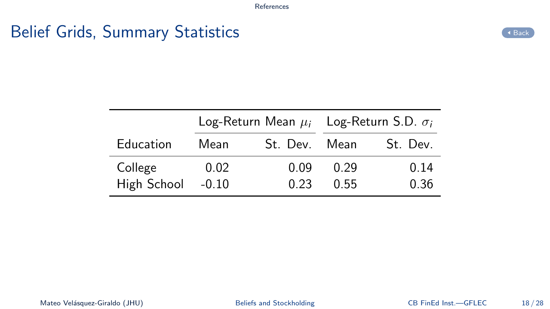# <span id="page-45-0"></span>Belief Grids, Summary Statistics [Back](#page-10-0) and the Contract of Back

|             |         | Log-Return Mean $\mu_i$ Log-Return S.D. $\sigma_i$ |      |          |
|-------------|---------|----------------------------------------------------|------|----------|
| Education   | Mean    | St. Dev. Mean                                      |      | St. Dev. |
| College     | 0.02    | 0.09                                               | 0.29 | 0.14     |
| High School | $-0.10$ | 0.23                                               | 0.55 | 0.36     |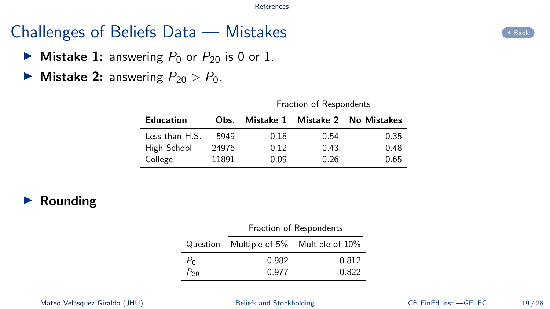# Challenges of Beliefs Data  $-$  Mistakes  $\bigcirc$

- <span id="page-46-0"></span> $\triangleright$  Mistake 1: answering  $P_0$  or  $P_{20}$  is 0 or 1.
- $\triangleright$  Mistake 2: answering  $P_{20} > P_0$ .

|                  |       | Fraction of Respondents |      |                                 |  |
|------------------|-------|-------------------------|------|---------------------------------|--|
| Education        | Obs.  |                         |      | Mistake 1 Mistake 2 No Mistakes |  |
| Less than $H.S.$ | 5949  | 0.18                    | 0.54 | 0.35                            |  |
| High School      | 24976 | 0.12                    | 0.43 | 0.48                            |  |
| College          | 11891 | 0.09                    | በ 26 | 0.65                            |  |

### $\blacktriangleright$  Rounding

|          | Fraction of Respondents |                                         |  |  |  |
|----------|-------------------------|-----------------------------------------|--|--|--|
|          |                         | Question Multiple of 5% Multiple of 10% |  |  |  |
| $P_0$    | 0.982                   | 0.812                                   |  |  |  |
| $P_{20}$ | 0.977                   | 0.822                                   |  |  |  |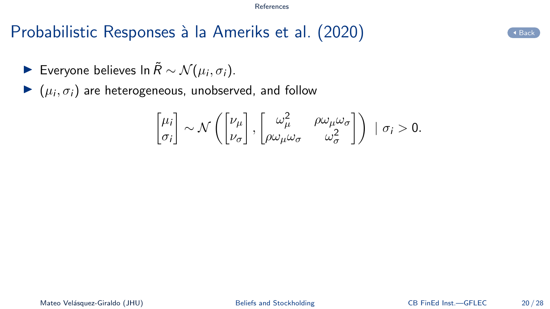# Probabilistic Responses à la Ameriks et al. [\(2020\)](#page-28-1)

- <span id="page-47-0"></span>► Everyone believes In  $\tilde{R} \sim \mathcal{N}(\mu_i, \sigma_i)$ .
- $\blacktriangleright$   $(\mu_i, \sigma_i)$  are heterogeneous, unobserved, and follow

$$
\begin{bmatrix} \mu_i \\ \sigma_i \end{bmatrix} \sim \mathcal{N}\left(\begin{bmatrix} \nu_\mu \\ \nu_\sigma \end{bmatrix}, \begin{bmatrix} \omega_\mu^2 & \rho \omega_\mu \omega_\sigma \\ \rho \omega_\mu \omega_\sigma & \omega_\sigma^2 \end{bmatrix}\right) \; | \; \sigma_i > 0.
$$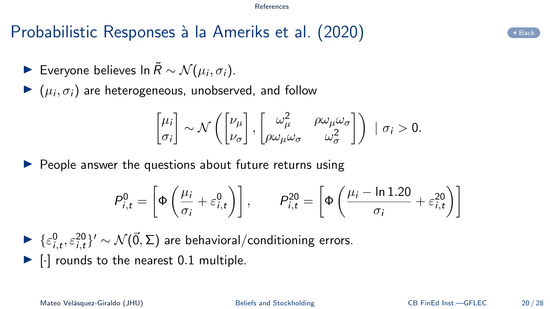# Probabilistic Responses à la Ameriks et al. [\(2020\)](#page-28-1)

- ► Everyone believes In  $\tilde{R} \sim \mathcal{N}(\mu_i, \sigma_i)$ .
- $\blacktriangleright$   $(\mu_i, \sigma_i)$  are heterogeneous, unobserved, and follow

$$
\begin{bmatrix} \mu_i \\ \sigma_i \end{bmatrix} \sim \mathcal{N}\left(\begin{bmatrix} \nu_\mu \\ \nu_\sigma \end{bmatrix}, \begin{bmatrix} \omega_\mu^2 & \rho \omega_\mu \omega_\sigma \\ \rho \omega_\mu \omega_\sigma & \omega_\sigma^2 \end{bmatrix}\right) \; | \; \sigma_i > 0.
$$

 $\triangleright$  People answer the questions about future returns using

$$
P_{i,t}^{0} = \left[ \Phi \left( \frac{\mu_i}{\sigma_i} + \varepsilon_{i,t}^{0} \right) \right], \qquad P_{i,t}^{20} = \left[ \Phi \left( \frac{\mu_i - \ln 1.20}{\sigma_i} + \varepsilon_{i,t}^{20} \right) \right]
$$

 $\blacktriangleright \ \{\varepsilon^0_{i,t}, \varepsilon^{20}_{i,t}\}' \sim \mathcal{N}(\vec{0},\Sigma)$  are behavioral/conditioning errors.

 $\blacktriangleright$   $\lceil \cdot \rceil$  rounds to the nearest 0.1 multiple.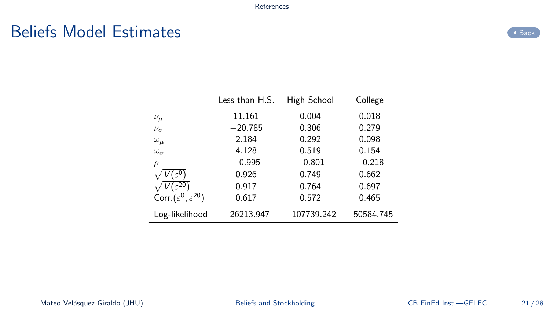### <span id="page-49-0"></span>Beliefs Model Estimates



|                                           | Less than H.S. | High School   | College      |
|-------------------------------------------|----------------|---------------|--------------|
| $\nu_\mu$                                 | 11.161         | 0.004         | 0.018        |
| $\nu_{\sigma}$                            | $-20.785$      | 0.306         | 0.279        |
| $\omega_{\mu}$                            | 2.184          | 0.292         | 0.098        |
| $\omega_{\sigma}$                         | 4.128          | 0.519         | 0.154        |
| ρ                                         | $-0.995$       | $-0.801$      | $-0.218$     |
| $V(\varepsilon^0)$                        | 0.926          | 0.749         | 0.662        |
| $V(\varepsilon^{\overline{20}})$          | 0.917          | 0.764         | 0.697        |
| Corr. $(\varepsilon^0, \varepsilon^{20})$ | 0.617          | 0.572         | 0.465        |
| Log-likelihood                            | $-26213.947$   | $-107739.242$ | $-50584.745$ |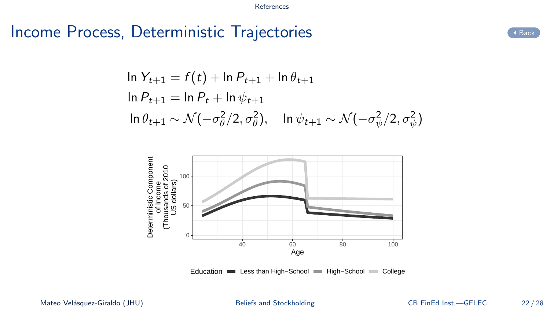### <span id="page-50-0"></span>Income Process, Deterministic Trajectories [Back](#page-12-0) CABack

$$
\ln Y_{t+1} = f(t) + \ln P_{t+1} + \ln \theta_{t+1}
$$
  
\n
$$
\ln P_{t+1} = \ln P_t + \ln \psi_{t+1}
$$
  
\n
$$
\ln \theta_{t+1} \sim \mathcal{N}(-\sigma_\theta^2/2, \sigma_\theta^2), \quad \ln \psi_{t+1} \sim \mathcal{N}(-\sigma_\psi^2/2, \sigma_\psi^2)
$$



Education Less than High-School High-School College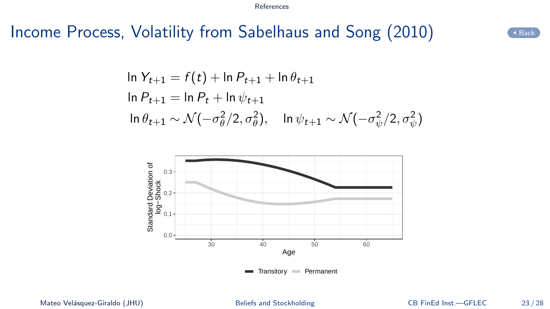### <span id="page-51-0"></span>Income Process, Volatility from Sabelhaus and Song [\(2010\)](#page-32-5)

$$
\ln Y_{t+1} = f(t) + \ln P_{t+1} + \ln \theta_{t+1}
$$
  
\n
$$
\ln P_{t+1} = \ln P_t + \ln \psi_{t+1}
$$
  
\n
$$
\ln \theta_{t+1} \sim \mathcal{N}(-\sigma_\theta^2/2, \sigma_\theta^2), \quad \ln \psi_{t+1} \sim \mathcal{N}(-\sigma_\psi^2/2, \sigma_\psi^2)
$$

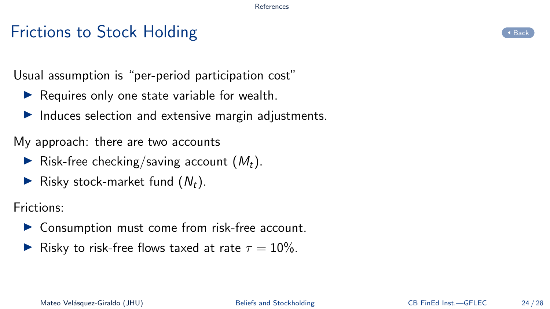### Frictions to Stock Holding [Back](#page-12-0) Back Control of the Control of the Control of the Control of the Control of the Control of the Control of the Control of the Control of the Control of the Control of the Control of the Contr

<span id="page-52-0"></span>Usual assumption is "per-period participation cost"

- $\blacktriangleright$  Requires only one state variable for wealth.
- $\blacktriangleright$  Induces selection and extensive margin adjustments.

My approach: there are two accounts

- $\blacktriangleright$  Risk-free checking/saving account  $(M_t)$ .
- Risky stock-market fund  $(N_t)$ .

Frictions:

- ▶ Consumption must come from risk-free account.
- $\blacktriangleright$  Risky to risk-free flows taxed at rate  $\tau = 10\%$ .

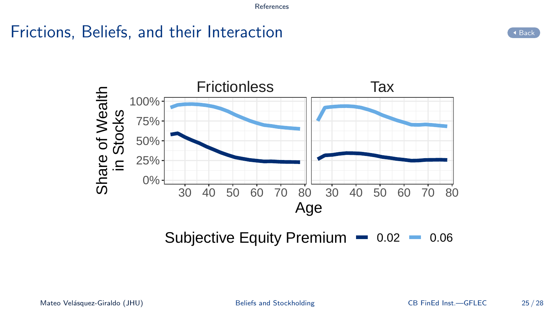# Frictions, Beliefs, and their Interaction  $\left($  and  $\left($  [Back](#page-12-0)

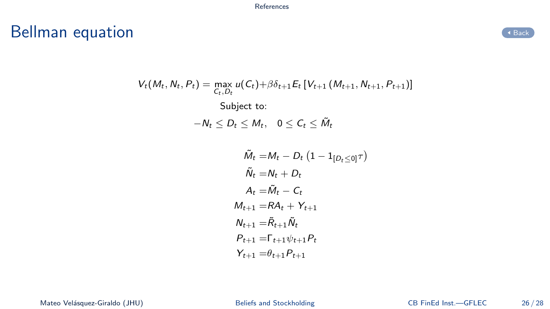# <span id="page-54-0"></span>Bellman equation and the state of the state of the state of the state of the state of the state of the state of the state of the state of the state of the state of the state of the state of the state of the state of the st



$$
V_{t}(M_{t}, N_{t}, P_{t}) = \max_{C_{t}, D_{t}} u(C_{t}) + \beta \delta_{t+1} E_{t} [V_{t+1} (M_{t+1}, N_{t+1}, P_{t+1})]
$$
  
Subject to:  

$$
-N_{t} \leq D_{t} \leq M_{t}, \quad 0 \leq C_{t} \leq \tilde{M}_{t}
$$

$$
\begin{aligned} \tilde{M}_t = & M_t - D_t \left( 1 - \mathbb{1}_{[D_t \le 0]} \tau \right) \\ \tilde{N}_t = & N_t + D_t \\ A_t = & \tilde{M}_t - C_t \\ M_{t+1} = & RA_t + Y_{t+1} \\ N_{t+1} = & \tilde{R}_{t+1} \tilde{N}_t \\ P_{t+1} = & \Gamma_{t+1} \psi_{t+1} P_t \\ Y_{t+1} = & \theta_{t+1} P_{t+1} \end{aligned}
$$

Mateo Velásquez-Giraldo (JHU) [Beliefs and Stockholding](#page-0-0) CB FinEd Inst.—GFLEC 26/28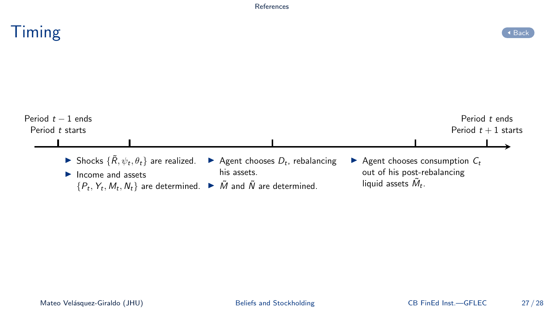<span id="page-55-0"></span>

| Timing                               |                                                                                                                                                                                                               |                                                  |                                                                                                | ◆ Back                                 |
|--------------------------------------|---------------------------------------------------------------------------------------------------------------------------------------------------------------------------------------------------------------|--------------------------------------------------|------------------------------------------------------------------------------------------------|----------------------------------------|
|                                      |                                                                                                                                                                                                               |                                                  |                                                                                                |                                        |
| Period $t-1$ ends<br>Period t starts |                                                                                                                                                                                                               |                                                  |                                                                                                | Period t ends<br>Period $t + 1$ starts |
|                                      | Shocks $\{\tilde{R}, \psi_t, \theta_t\}$ are realized.<br>$\blacktriangleright$ Income and assets<br>$\{P_t, Y_t, M_t, N_t\}$ are determined. $\blacktriangleright \tilde{M}$ and $\tilde{N}$ are determined. | Agent chooses $D_t$ , rebalancing<br>his assets. | Agent chooses consumption $C_t$<br>out of his post-rebalancing<br>liquid assets $\ddot{M}_t$ . |                                        |